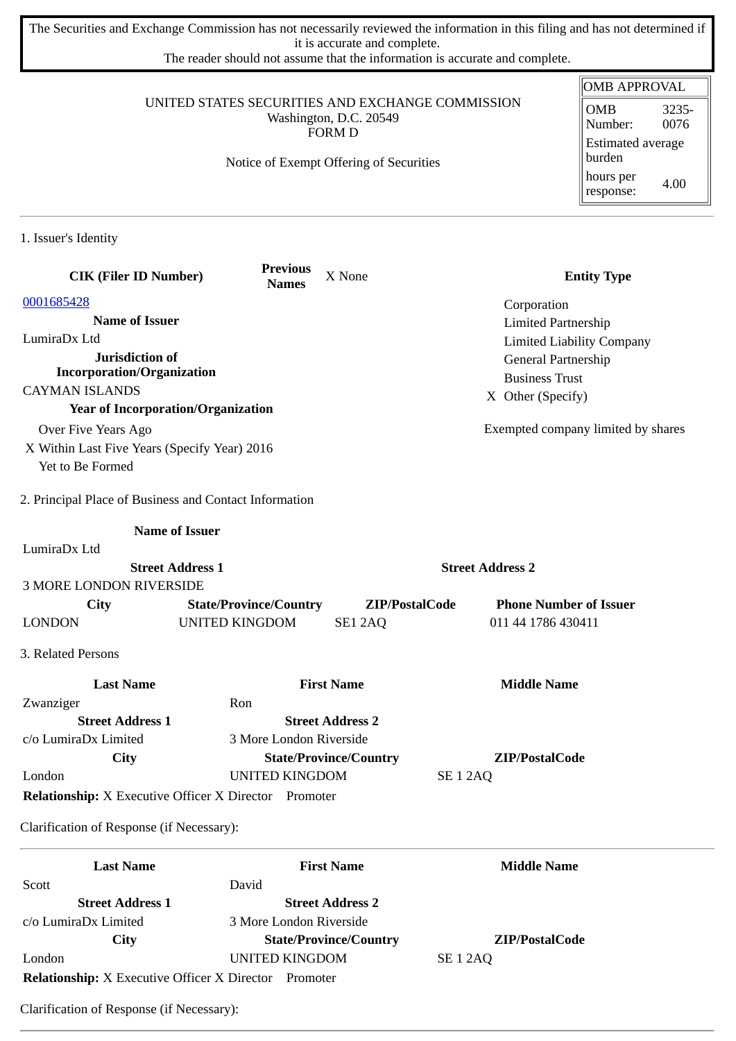The Securities and Exchange Commission has not necessarily reviewed the information in this filing and has not determined if it is accurate and complete.

The reader should not assume that the information is accurate and complete.

## UNITED STATES SECURITIES AND EXCHANGE COMMISSION Washington, D.C. 20549 FORM D

Notice of Exempt Offering of Securities

| <b>OMB APPROVAL</b>                |               |  |  |  |
|------------------------------------|---------------|--|--|--|
| OMB<br>Number:                     | 3235-<br>0076 |  |  |  |
| <b>Estimated average</b><br>burden |               |  |  |  |
| hours per<br>response:             | 4.00          |  |  |  |

1. Issuer's Identity

| <b>CIK (Filer ID Number)</b>                                 |                               | <b>Previous</b><br><b>Names</b> | X None                        |                 | <b>Entity Type</b>                 |
|--------------------------------------------------------------|-------------------------------|---------------------------------|-------------------------------|-----------------|------------------------------------|
| 0001685428                                                   |                               |                                 |                               |                 | Corporation                        |
| <b>Name of Issuer</b>                                        |                               |                                 |                               |                 | <b>Limited Partnership</b>         |
| LumiraDx Ltd                                                 |                               |                                 |                               |                 | <b>Limited Liability Company</b>   |
| Jurisdiction of                                              |                               |                                 |                               |                 | General Partnership                |
| <b>Incorporation/Organization</b>                            |                               |                                 |                               |                 | <b>Business Trust</b>              |
| <b>CAYMAN ISLANDS</b>                                        |                               |                                 |                               |                 | X Other (Specify)                  |
| <b>Year of Incorporation/Organization</b>                    |                               |                                 |                               |                 |                                    |
| Over Five Years Ago                                          |                               |                                 |                               |                 | Exempted company limited by shares |
| X Within Last Five Years (Specify Year) 2016                 |                               |                                 |                               |                 |                                    |
| Yet to Be Formed                                             |                               |                                 |                               |                 |                                    |
| 2. Principal Place of Business and Contact Information       |                               |                                 |                               |                 |                                    |
|                                                              | <b>Name of Issuer</b>         |                                 |                               |                 |                                    |
| LumiraDx Ltd                                                 |                               |                                 |                               |                 |                                    |
|                                                              | <b>Street Address 1</b>       |                                 |                               |                 | <b>Street Address 2</b>            |
| <b>3 MORE LONDON RIVERSIDE</b>                               |                               |                                 |                               |                 |                                    |
| City                                                         | <b>State/Province/Country</b> |                                 | ZIP/PostalCode                |                 | <b>Phone Number of Issuer</b>      |
| <b>LONDON</b>                                                | <b>UNITED KINGDOM</b>         |                                 | SE1 2AQ                       |                 | 011 44 1786 430411                 |
| 3. Related Persons                                           |                               |                                 |                               |                 |                                    |
| <b>Last Name</b>                                             |                               |                                 | <b>First Name</b>             |                 | <b>Middle Name</b>                 |
| Zwanziger                                                    | Ron                           |                                 |                               |                 |                                    |
| <b>Street Address 1</b>                                      |                               |                                 | <b>Street Address 2</b>       |                 |                                    |
| c/o LumiraDx Limited                                         | 3 More London Riverside       |                                 |                               |                 |                                    |
| City                                                         |                               |                                 | <b>State/Province/Country</b> |                 | ZIP/PostalCode                     |
| London                                                       | <b>UNITED KINGDOM</b>         |                                 |                               | <b>SE 1 2AQ</b> |                                    |
| <b>Relationship:</b> X Executive Officer X Director Promoter |                               |                                 |                               |                 |                                    |
| Clarification of Response (if Necessary):                    |                               |                                 |                               |                 |                                    |
| <b>Last Name</b>                                             |                               |                                 | <b>First Name</b>             |                 | <b>Middle Name</b>                 |
| Scott                                                        | David                         |                                 |                               |                 |                                    |
| <b>Street Address 1</b>                                      |                               |                                 | <b>Street Address 2</b>       |                 |                                    |
|                                                              |                               |                                 |                               |                 |                                    |

c/o LumiraDx Limited 3 More London Riverside **City State/Province/Country ZIP/PostalCode** London UNITED KINGDOM SE 1 2AQ **Relationship:** X Executive Officer X Director Promoter

Clarification of Response (if Necessary):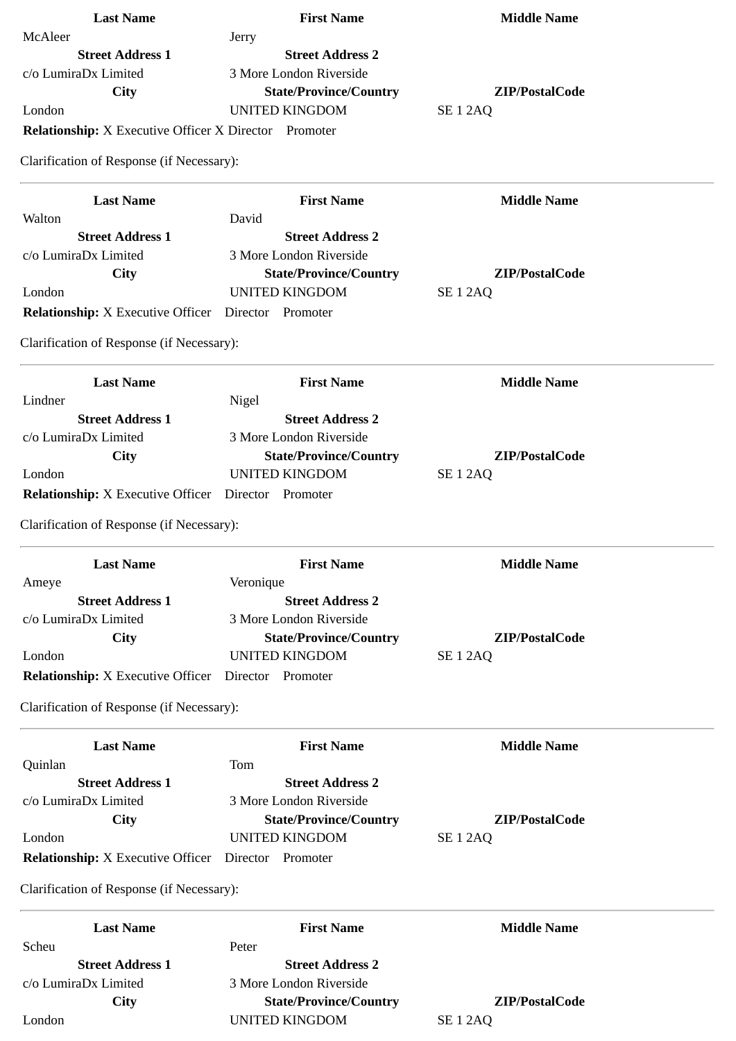| <b>Last Name</b>                                             | <b>First Name</b>             | <b>Middle Name</b>  |
|--------------------------------------------------------------|-------------------------------|---------------------|
| McAleer                                                      | Jerry                         |                     |
| <b>Street Address 1</b>                                      | <b>Street Address 2</b>       |                     |
| c/o LumiraDx Limited                                         | 3 More London Riverside       |                     |
| City                                                         | <b>State/Province/Country</b> | ZIP/PostalCode      |
| London                                                       | <b>UNITED KINGDOM</b>         | <b>SE 1 2AQ</b>     |
| <b>Relationship:</b> X Executive Officer X Director Promoter |                               |                     |
| Clarification of Response (if Necessary):                    |                               |                     |
| <b>Last Name</b>                                             | <b>First Name</b>             | <b>Middle Name</b>  |
| Walton                                                       | David                         |                     |
| <b>Street Address 1</b>                                      | <b>Street Address 2</b>       |                     |
| c/o LumiraDx Limited                                         | 3 More London Riverside       |                     |
| City                                                         | <b>State/Province/Country</b> | ZIP/PostalCode      |
| London                                                       | <b>UNITED KINGDOM</b>         | <b>SE 1 2AQ</b>     |
|                                                              | Director Promoter             |                     |
| <b>Relationship:</b> X Executive Officer                     |                               |                     |
| Clarification of Response (if Necessary):                    |                               |                     |
| <b>Last Name</b>                                             | <b>First Name</b>             | <b>Middle Name</b>  |
| Lindner                                                      | Nigel                         |                     |
| <b>Street Address 1</b>                                      | <b>Street Address 2</b>       |                     |
| c/o LumiraDx Limited                                         | 3 More London Riverside       |                     |
| City                                                         | <b>State/Province/Country</b> | ZIP/PostalCode      |
| London                                                       | <b>UNITED KINGDOM</b>         | <b>SE 1 2AQ</b>     |
| <b>Relationship:</b> X Executive Officer Director Promoter   |                               |                     |
| Clarification of Response (if Necessary):                    |                               |                     |
|                                                              |                               |                     |
| <b>Last Name</b>                                             | <b>First Name</b>             | <b>Middle Name</b>  |
| Ameye                                                        | Veronique                     |                     |
| <b>Street Address 1</b>                                      | <b>Street Address 2</b>       |                     |
| c/o LumiraDx Limited                                         | 3 More London Riverside       |                     |
| City                                                         | <b>State/Province/Country</b> | ZIP/PostalCode      |
| London                                                       | <b>UNITED KINGDOM</b>         | SE <sub>1</sub> 2AQ |
| <b>Relationship:</b> X Executive Officer                     | Director Promoter             |                     |
| Clarification of Response (if Necessary):                    |                               |                     |
| <b>Last Name</b>                                             | <b>First Name</b>             | <b>Middle Name</b>  |
| Quinlan                                                      | Tom                           |                     |
| <b>Street Address 1</b>                                      | <b>Street Address 2</b>       |                     |
| c/o LumiraDx Limited                                         | 3 More London Riverside       |                     |
| City                                                         | <b>State/Province/Country</b> | ZIP/PostalCode      |
| London                                                       | <b>UNITED KINGDOM</b>         | <b>SE 1 2AQ</b>     |
| <b>Relationship:</b> X Executive Officer Director Promoter   |                               |                     |
| Clarification of Response (if Necessary):                    |                               |                     |
| <b>Last Name</b>                                             | <b>First Name</b>             | <b>Middle Name</b>  |
| Scheu                                                        | Peter                         |                     |
| <b>Street Address 1</b>                                      | <b>Street Address 2</b>       |                     |
| c/o LumiraDx Limited                                         | 3 More London Riverside       |                     |
| City                                                         | <b>State/Province/Country</b> | ZIP/PostalCode      |
| London                                                       | <b>UNITED KINGDOM</b>         | SE <sub>1</sub> 2AQ |
|                                                              |                               |                     |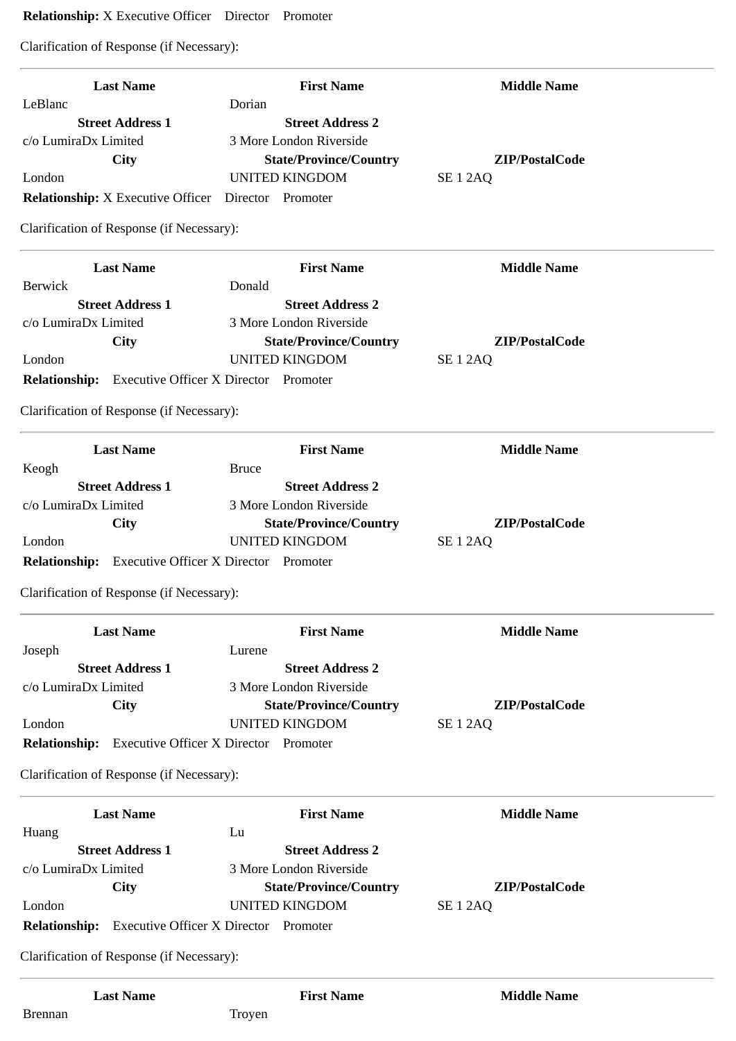# **Relationship:** X Executive Officer Director Promoter

Clarification of Response (if Necessary):

| <b>Last Name</b>                                           | <b>First Name</b>                 | <b>Middle Name</b>  |
|------------------------------------------------------------|-----------------------------------|---------------------|
| LeBlanc<br><b>Street Address 1</b>                         | Dorian<br><b>Street Address 2</b> |                     |
| c/o LumiraDx Limited                                       | 3 More London Riverside           |                     |
| City                                                       | <b>State/Province/Country</b>     | ZIP/PostalCode      |
| London                                                     | <b>UNITED KINGDOM</b>             | SE <sub>1</sub> 2AQ |
| Relationship: X Executive Officer Director Promoter        |                                   |                     |
| Clarification of Response (if Necessary):                  |                                   |                     |
|                                                            |                                   |                     |
| <b>Last Name</b>                                           | <b>First Name</b>                 | <b>Middle Name</b>  |
| <b>Berwick</b>                                             | Donald                            |                     |
| <b>Street Address 1</b>                                    | <b>Street Address 2</b>           |                     |
| c/o LumiraDx Limited                                       | 3 More London Riverside           |                     |
| <b>City</b>                                                | <b>State/Province/Country</b>     | ZIP/PostalCode      |
| London                                                     | <b>UNITED KINGDOM</b>             | SE <sub>1</sub> 2AQ |
| <b>Relationship:</b> Executive Officer X Director Promoter |                                   |                     |
| Clarification of Response (if Necessary):                  |                                   |                     |
| <b>Last Name</b>                                           | <b>First Name</b>                 | <b>Middle Name</b>  |
| Keogh                                                      | <b>Bruce</b>                      |                     |
| <b>Street Address 1</b>                                    | <b>Street Address 2</b>           |                     |
| c/o LumiraDx Limited                                       | 3 More London Riverside           |                     |
| <b>City</b>                                                | <b>State/Province/Country</b>     | ZIP/PostalCode      |
| London                                                     | <b>UNITED KINGDOM</b>             | SE <sub>1</sub> 2AQ |
| Relationship: Executive Officer X Director Promoter        |                                   |                     |
| Clarification of Response (if Necessary):                  |                                   |                     |
| <b>Last Name</b>                                           | <b>First Name</b>                 | <b>Middle Name</b>  |
| Joseph                                                     | Lurene                            |                     |
| <b>Street Address 1</b>                                    | <b>Street Address 2</b>           |                     |
| c/o LumiraDx Limited                                       | 3 More London Riverside           |                     |
| <b>City</b>                                                | <b>State/Province/Country</b>     | ZIP/PostalCode      |
| London                                                     | <b>UNITED KINGDOM</b>             | SE <sub>1</sub> 2AQ |
| <b>Relationship:</b> Executive Officer X Director Promoter |                                   |                     |
| Clarification of Response (if Necessary):                  |                                   |                     |
| <b>Last Name</b>                                           | <b>First Name</b>                 | <b>Middle Name</b>  |
| Huang                                                      | Lu                                |                     |
| <b>Street Address 1</b>                                    | <b>Street Address 2</b>           |                     |
| c/o LumiraDx Limited                                       | 3 More London Riverside           |                     |
| City                                                       | <b>State/Province/Country</b>     | ZIP/PostalCode      |
| London                                                     | <b>UNITED KINGDOM</b>             | SE <sub>1</sub> 2AQ |
| Relationship: Executive Officer X Director Promoter        |                                   |                     |
| Clarification of Response (if Necessary):                  |                                   |                     |
| <b>Last Name</b>                                           | <b>First Name</b>                 | <b>Middle Name</b>  |
| <b>Brennan</b>                                             | Troyen                            |                     |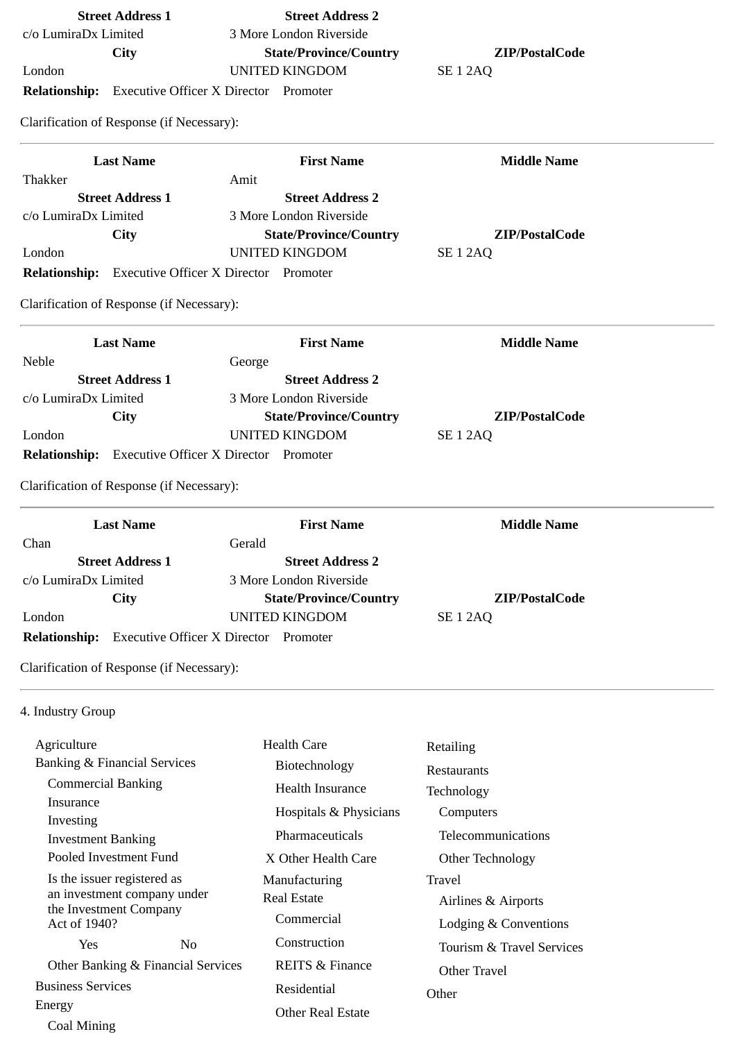| c/o LumiraDx Limited                                                 | 3 More London Riverside                                |                                   |  |
|----------------------------------------------------------------------|--------------------------------------------------------|-----------------------------------|--|
| <b>City</b>                                                          | <b>State/Province/Country</b>                          | ZIP/PostalCode                    |  |
| London                                                               | <b>UNITED KINGDOM</b>                                  | SE <sub>1</sub> 2AQ               |  |
| <b>Relationship:</b> Executive Officer X Director Promoter           |                                                        |                                   |  |
| Clarification of Response (if Necessary):                            |                                                        |                                   |  |
| <b>Last Name</b>                                                     | <b>First Name</b>                                      | <b>Middle Name</b>                |  |
| Thakker                                                              | Amit                                                   |                                   |  |
| <b>Street Address 1</b>                                              | <b>Street Address 2</b>                                |                                   |  |
| c/o LumiraDx Limited                                                 | 3 More London Riverside                                |                                   |  |
| City<br>London                                                       | <b>State/Province/Country</b><br><b>UNITED KINGDOM</b> | ZIP/PostalCode<br><b>SE 1 2AQ</b> |  |
| <b>Relationship:</b> Executive Officer X Director Promoter           |                                                        |                                   |  |
|                                                                      |                                                        |                                   |  |
| Clarification of Response (if Necessary):                            |                                                        |                                   |  |
| <b>Last Name</b>                                                     | <b>First Name</b>                                      | <b>Middle Name</b>                |  |
| Neble                                                                | George                                                 |                                   |  |
| <b>Street Address 1</b>                                              | <b>Street Address 2</b>                                |                                   |  |
| c/o LumiraDx Limited                                                 | 3 More London Riverside                                | ZIP/PostalCode                    |  |
| City<br>London                                                       | <b>State/Province/Country</b><br><b>UNITED KINGDOM</b> | <b>SE 1 2AQ</b>                   |  |
| <b>Relationship:</b> Executive Officer X Director Promoter           |                                                        |                                   |  |
|                                                                      |                                                        |                                   |  |
| Clarification of Response (if Necessary):                            |                                                        |                                   |  |
| <b>Last Name</b>                                                     | <b>First Name</b>                                      | <b>Middle Name</b>                |  |
| Chan                                                                 | Gerald                                                 |                                   |  |
| <b>Street Address 1</b>                                              | <b>Street Address 2</b><br>3 More London Riverside     |                                   |  |
| c/o LumiraDx Limited<br><b>City</b>                                  | <b>State/Province/Country</b>                          | ZIP/PostalCode                    |  |
| London                                                               | <b>UNITED KINGDOM</b>                                  | <b>SE 1 2AQ</b>                   |  |
| <b>Executive Officer X Director Promoter</b><br><b>Relationship:</b> |                                                        |                                   |  |
| Clarification of Response (if Necessary):                            |                                                        |                                   |  |
| 4. Industry Group                                                    |                                                        |                                   |  |
| Agriculture                                                          | <b>Health Care</b>                                     | Retailing                         |  |
| <b>Banking &amp; Financial Services</b>                              | Biotechnology                                          |                                   |  |
| <b>Commercial Banking</b>                                            | <b>Health Insurance</b>                                | Restaurants                       |  |
| Insurance                                                            |                                                        | Technology                        |  |
| Investing                                                            | Hospitals & Physicians                                 | Computers                         |  |
| <b>Investment Banking</b>                                            | Pharmaceuticals                                        | Telecommunications                |  |
| Pooled Investment Fund                                               | X Other Health Care                                    | Other Technology                  |  |
| Is the issuer registered as                                          | Manufacturing                                          | Travel                            |  |
| an investment company under                                          | <b>Real Estate</b>                                     | Airlines & Airports               |  |
| the Investment Company<br>Act of 1940?                               | Commercial                                             | Lodging & Conventions             |  |
| Yes<br>No                                                            | Construction                                           | Tourism & Travel Services         |  |
| Other Banking & Financial Services                                   | <b>REITS &amp; Finance</b>                             |                                   |  |
| <b>Business Services</b>                                             |                                                        | <b>Other Travel</b>               |  |
| Energy                                                               | Residential                                            | Other                             |  |
| Coal Mining                                                          | <b>Other Real Estate</b>                               |                                   |  |
|                                                                      |                                                        |                                   |  |

**Street Address 1 Street Address 2**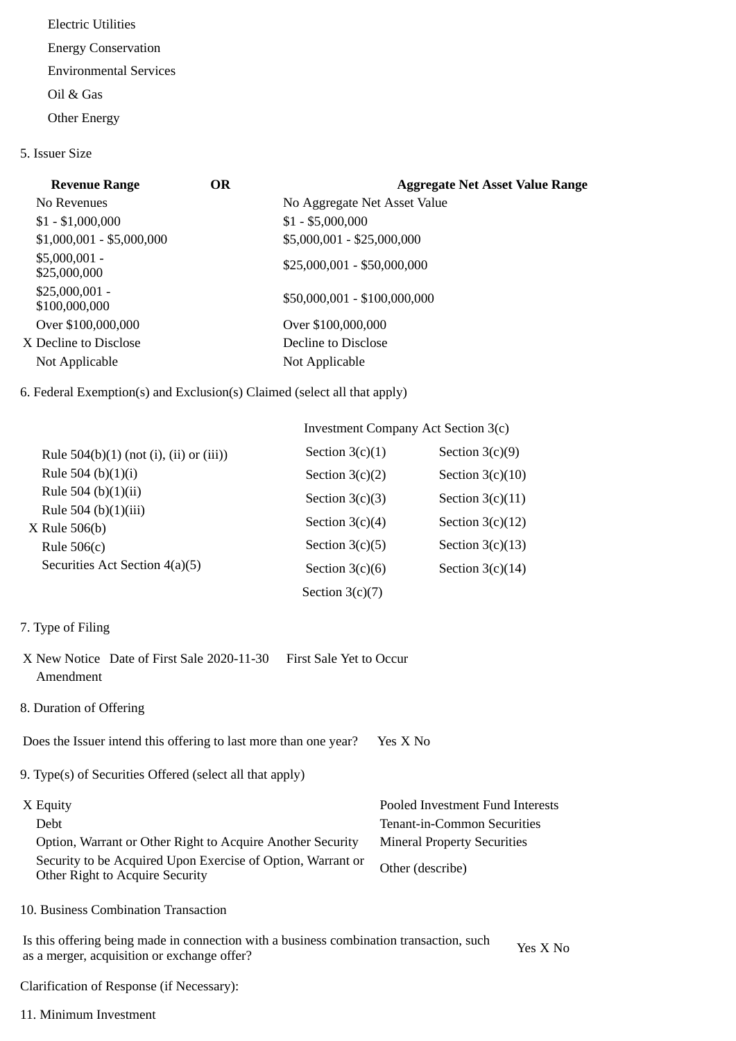Electric Utilities Energy Conservation Environmental Services Oil & Gas Other Energy

5. Issuer Size

| <b>Revenue Range</b>             | <b>OR</b> | <b>Aggregate Net Asset Value Range</b> |
|----------------------------------|-----------|----------------------------------------|
| No Revenues                      |           | No Aggregate Net Asset Value           |
| $$1 - $1,000,000$                |           | $$1 - $5,000,000$                      |
| $$1,000,001 - $5,000,000$        |           | \$5,000,001 - \$25,000,000             |
| $$5,000,001 -$<br>\$25,000,000   |           | $$25,000,001 - $50,000,000$            |
| $$25,000,001 -$<br>\$100,000,000 |           | \$50,000,001 - \$100,000,000           |
| Over \$100,000,000               |           | Over \$100,000,000                     |
| X Decline to Disclose            |           | Decline to Disclose                    |
| Not Applicable                   |           | Not Applicable                         |

# 6. Federal Exemption(s) and Exclusion(s) Claimed (select all that apply)

|                                           | Investment Company Act Section 3(c) |                    |
|-------------------------------------------|-------------------------------------|--------------------|
| Rule $504(b)(1)$ (not (i), (ii) or (iii)) | Section $3(c)(1)$                   | Section $3(c)(9)$  |
| Rule 504 (b) $(1)(i)$                     | Section $3(c)(2)$                   | Section $3(c)(10)$ |
| Rule 504 (b) $(1)(ii)$                    | Section $3(c)(3)$                   | Section $3(c)(11)$ |
| Rule 504 (b)(1)(iii)<br>$X$ Rule 506(b)   | Section $3(c)(4)$                   | Section $3(c)(12)$ |
| Rule $506(c)$                             | Section $3(c)(5)$                   | Section $3(c)(13)$ |
| Securities Act Section 4(a)(5)            | Section $3(c)(6)$                   | Section $3(c)(14)$ |
|                                           | Section $3(c)(7)$                   |                    |

- 7. Type of Filing
- X New Notice Date of First Sale 2020-11-30 First Sale Yet to Occur Amendment
- 8. Duration of Offering

Does the Issuer intend this offering to last more than one year? Yes X No

9. Type(s) of Securities Offered (select all that apply)

| X Equity                                                                                       | Pooled Investment Fund Interests   |
|------------------------------------------------------------------------------------------------|------------------------------------|
| Debt                                                                                           | Tenant-in-Common Securities        |
| Option, Warrant or Other Right to Acquire Another Security                                     | <b>Mineral Property Securities</b> |
| Security to be Acquired Upon Exercise of Option, Warrant or<br>Other Right to Acquire Security | Other (describe)                   |

10. Business Combination Transaction

Is this offering being made in connection with a business combination transaction, such as a merger, acquisition or exchange offer?<br>as a merger, acquisition or exchange offer?

Clarification of Response (if Necessary):

11. Minimum Investment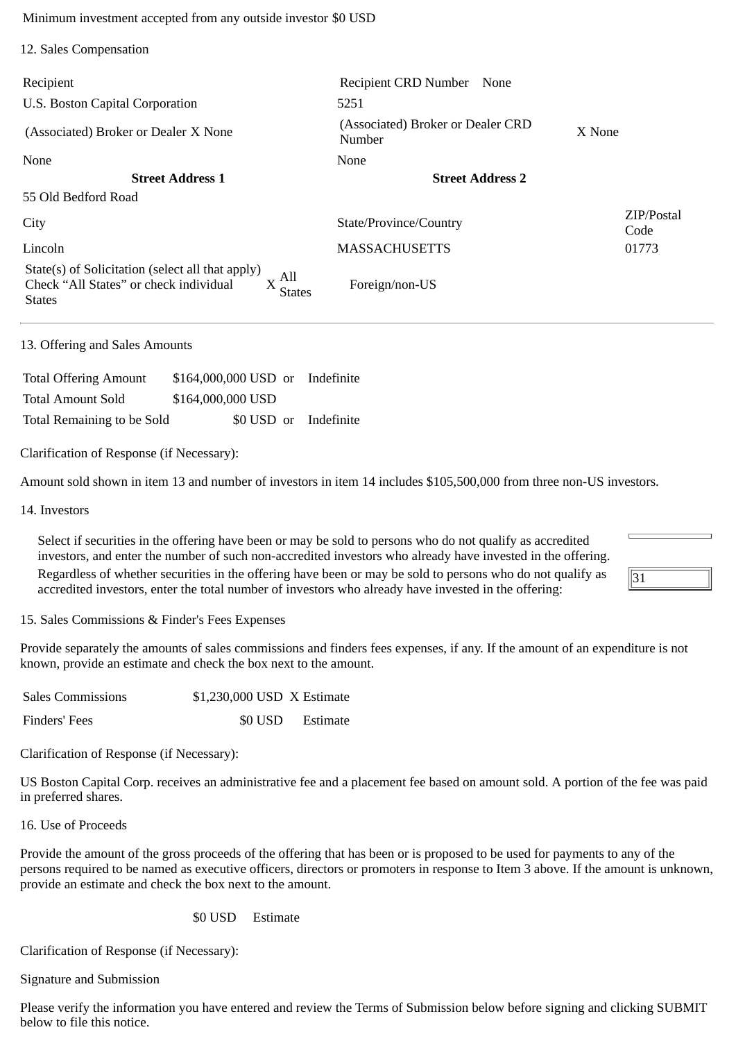Minimum investment accepted from any outside investor \$0 USD

| 12. Sales Compensation                                                                                                                |                                             |                    |
|---------------------------------------------------------------------------------------------------------------------------------------|---------------------------------------------|--------------------|
| Recipient                                                                                                                             | <b>Recipient CRD Number</b><br>None         |                    |
| U.S. Boston Capital Corporation                                                                                                       | 5251                                        |                    |
| (Associated) Broker or Dealer X None                                                                                                  | (Associated) Broker or Dealer CRD<br>Number | X None             |
| None                                                                                                                                  | <b>None</b>                                 |                    |
| <b>Street Address 1</b>                                                                                                               | <b>Street Address 2</b>                     |                    |
| 55 Old Bedford Road                                                                                                                   |                                             |                    |
| City                                                                                                                                  | State/Province/Country                      | ZIP/Postal<br>Code |
| Lincoln                                                                                                                               | <b>MASSACHUSETTS</b>                        | 01773              |
| State(s) of Solicitation (select all that apply)<br>, All<br>Check "All States" or check individual<br><b>States</b><br><b>States</b> | Foreign/non-US                              |                    |

#### 13. Offering and Sales Amounts

| <b>Total Offering Amount</b> | \$164,000,000 USD or Indefinite |                       |
|------------------------------|---------------------------------|-----------------------|
| <b>Total Amount Sold</b>     | \$164,000,000 USD               |                       |
| Total Remaining to be Sold   |                                 | \$0 USD or Indefinite |

Clarification of Response (if Necessary):

Amount sold shown in item 13 and number of investors in item 14 includes \$105,500,000 from three non-US investors.

14. Investors

Select if securities in the offering have been or may be sold to persons who do not qualify as accredited investors, and enter the number of such non-accredited investors who already have invested in the offering.

Regardless of whether securities in the offering have been or may be sold to persons who do not qualify as accredited investors, enter the total number of investors who already have invested in the offering:

15. Sales Commissions & Finder's Fees Expenses

Provide separately the amounts of sales commissions and finders fees expenses, if any. If the amount of an expenditure is not known, provide an estimate and check the box next to the amount.

 $\overline{31}$ 

| <b>Sales Commissions</b> | \$1,230,000 USD X Estimate |                  |
|--------------------------|----------------------------|------------------|
| Finders' Fees            |                            | \$0 USD Estimate |

Clarification of Response (if Necessary):

US Boston Capital Corp. receives an administrative fee and a placement fee based on amount sold. A portion of the fee was paid in preferred shares.

16. Use of Proceeds

Provide the amount of the gross proceeds of the offering that has been or is proposed to be used for payments to any of the persons required to be named as executive officers, directors or promoters in response to Item 3 above. If the amount is unknown, provide an estimate and check the box next to the amount.

## \$0 USD Estimate

Clarification of Response (if Necessary):

Signature and Submission

Please verify the information you have entered and review the Terms of Submission below before signing and clicking SUBMIT below to file this notice.